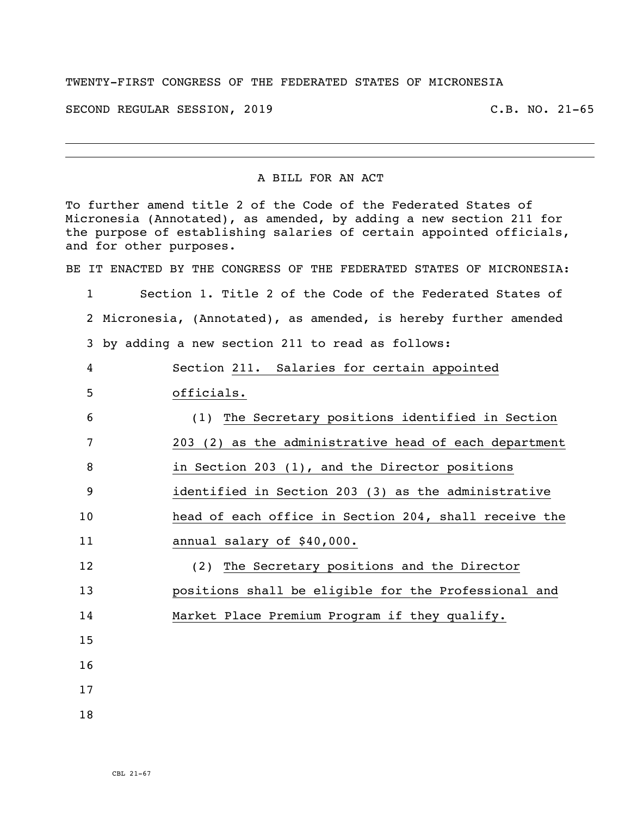## TWENTY-FIRST CONGRESS OF THE FEDERATED STATES OF MICRONESIA

SECOND REGULAR SESSION, 2019 C.B. NO. 21-65

## A BILL FOR AN ACT

To further amend title 2 of the Code of the Federated States of Micronesia (Annotated), as amended, by adding a new section 211 for the purpose of establishing salaries of certain appointed officials, and for other purposes. BE IT ENACTED BY THE CONGRESS OF THE FEDERATED STATES OF MICRONESIA: Section 1. Title 2 of the Code of the Federated States of Micronesia, (Annotated), as amended, is hereby further amended by adding a new section 211 to read as follows: Section 211. Salaries for certain appointed officials. (1) The Secretary positions identified in Section 203 (2) as the administrative head of each department in Section 203 (1), and the Director positions identified in Section 203 (3) as the administrative head of each office in Section 204, shall receive the annual salary of \$40,000. (2) The Secretary positions and the Director positions shall be eligible for the Professional and Market Place Premium Program if they qualify.